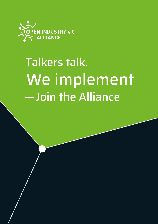

# **Talkers talk,** We implement -Join the Alliance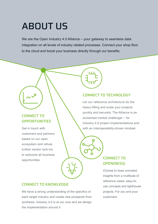## ABOUT US

We are the Open Industry 4.0 Alliance – your gateway to seamless data integration on all levels of industry related processes. Connect your shop floor to the cloud and boost your business directly through our benefits.

#### CONNECT TO **OPPORTUNITIES**

Get in touch with customers and partners based on our open ecosystem and refuse further vendor lock-ins to welcome all business opportunities.

#### CONNECT TO TECHNOLOGY

Let our reference architecture do the heavy-lifting and scale your projects quickly and securely. The Alliance is an acclaimed market challenger – for Industry 4.0 project implementations and with an interoperability-driven mindset.

#### CONNECT TO OPEN(NESS)

Choose to draw unrivaled insights from a multitude of reference cases, easy-touse concepts and lighthouse projects. For you and your customers.

#### CONNECT TO KNOWLEDGE

We have a strong understanding of the specifics of each target industry and create new prospects from synthesis. Industry 4.0 is at our core and we design the implementation around it.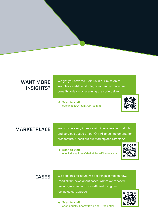#### WANT MORE INSIGHTS?

We got you covered. Join us in our mission of seamless end-to-end integration and explore our benefits today – by scanning the code below.

→ Scan to visit openindustry4.com/Join-us.html



MARKETPLACE We provide every industry with interoperable products and services based on our OI4 Alliance implementation architecture. Check out our Marketplace Directory!

> **→ Scan to visit** openindustry4.com/Marketplace-Directory.html



CASES We don't talk for hours, we set things in motion now. Read all the news about cases, where we reached project goals fast and cost-efficient using our technological approach.

> $\rightarrow$  **Scan to visit** openindustry4.com/News-and-Press.html